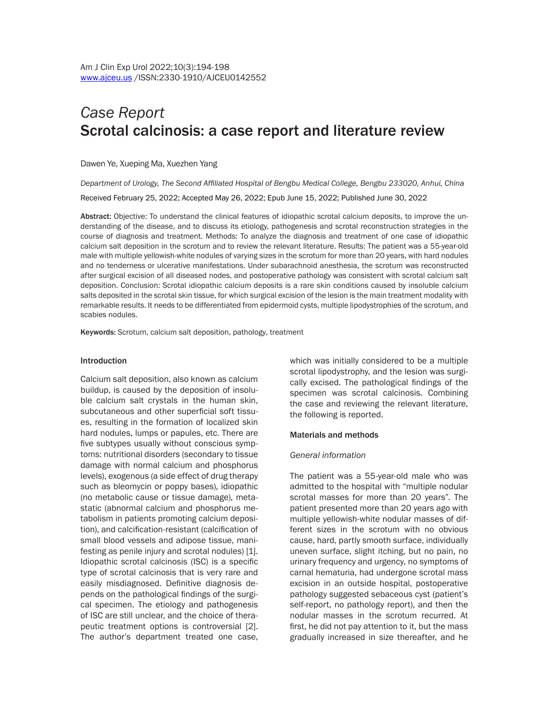# *Case Report* Scrotal calcinosis: a case report and literature review

Dawen Ye, Xueping Ma, Xuezhen Yang

*Department of Urology, The Second Affiliated Hospital of Bengbu Medical College, Bengbu 233020, Anhui, China* Received February 25, 2022; Accepted May 26, 2022; Epub June 15, 2022; Published June 30, 2022

Abstract: Objective: To understand the clinical features of idiopathic scrotal calcium deposits, to improve the understanding of the disease, and to discuss its etiology, pathogenesis and scrotal reconstruction strategies in the course of diagnosis and treatment. Methods: To analyze the diagnosis and treatment of one case of idiopathic calcium salt deposition in the scrotum and to review the relevant literature. Results: The patient was a 55-year-old male with multiple yellowish-white nodules of varying sizes in the scrotum for more than 20 years, with hard nodules and no tenderness or ulcerative manifestations. Under subarachnoid anesthesia, the scrotum was reconstructed after surgical excision of all diseased nodes, and postoperative pathology was consistent with scrotal calcium salt deposition. Conclusion: Scrotal idiopathic calcium deposits is a rare skin conditions caused by insoluble calcium salts deposited in the scrotal skin tissue, for which surgical excision of the lesion is the main treatment modality with remarkable results. It needs to be differentiated from epidermoid cysts, multiple lipodystrophies of the scrotum, and scabies nodules.

Keywords: Scrotum, calcium salt deposition, pathology, treatment

#### Introduction

Calcium salt deposition, also known as calcium buildup, is caused by the deposition of insoluble calcium salt crystals in the human skin, subcutaneous and other superficial soft tissues, resulting in the formation of localized skin hard nodules, lumps or papules, etc. There are five subtypes usually without conscious symptoms: nutritional disorders (secondary to tissue damage with normal calcium and phosphorus levels), exogenous (a side effect of drug therapy such as bleomycin or poppy bases), idiopathic (no metabolic cause or tissue damage), metastatic (abnormal calcium and phosphorus metabolism in patients promoting calcium deposition), and calcification-resistant (calcification of small blood vessels and adipose tissue, manifesting as penile injury and scrotal nodules) [1]. Idiopathic scrotal calcinosis (ISC) is a specific type of scrotal calcinosis that is very rare and easily misdiagnosed. Definitive diagnosis depends on the pathological findings of the surgical specimen. The etiology and pathogenesis of ISC are still unclear, and the choice of therapeutic treatment options is controversial [2]. The author's department treated one case, which was initially considered to be a multiple scrotal lipodystrophy, and the lesion was surgically excised. The pathological findings of the specimen was scrotal calcinosis. Combining the case and reviewing the relevant literature, the following is reported.

#### Materials and methods

#### *General information*

The patient was a 55-year-old male who was admitted to the hospital with "multiple nodular scrotal masses for more than 20 years". The patient presented more than 20 years ago with multiple yellowish-white nodular masses of different sizes in the scrotum with no obvious cause, hard, partly smooth surface, individually uneven surface, slight itching, but no pain, no urinary frequency and urgency, no symptoms of carnal hematuria, had undergone scrotal mass excision in an outside hospital, postoperative pathology suggested sebaceous cyst (patient's self-report, no pathology report), and then the nodular masses in the scrotum recurred. At first, he did not pay attention to it, but the mass gradually increased in size thereafter, and he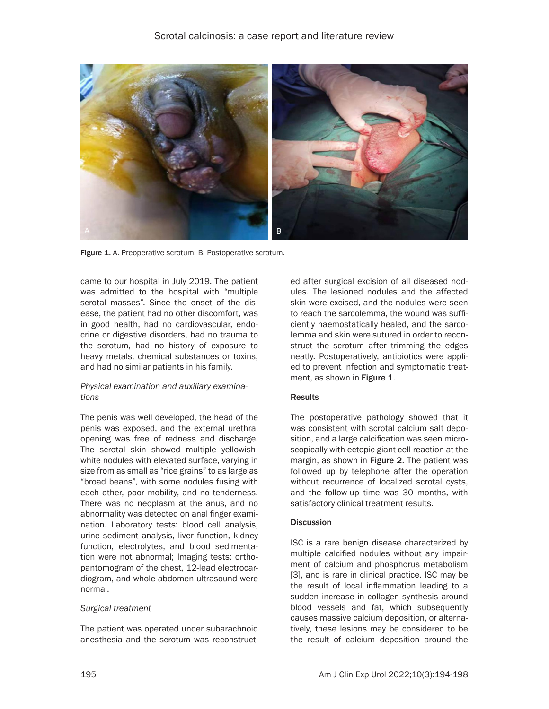

Figure 1. A. Preoperative scrotum; B. Postoperative scrotum.

came to our hospital in July 2019. The patient was admitted to the hospital with "multiple scrotal masses". Since the onset of the disease, the patient had no other discomfort, was in good health, had no cardiovascular, endocrine or digestive disorders, had no trauma to the scrotum, had no history of exposure to heavy metals, chemical substances or toxins, and had no similar patients in his family.

# *Physical examination and auxiliary examinations*

The penis was well developed, the head of the penis was exposed, and the external urethral opening was free of redness and discharge. The scrotal skin showed multiple yellowishwhite nodules with elevated surface, varying in size from as small as "rice grains" to as large as "broad beans", with some nodules fusing with each other, poor mobility, and no tenderness. There was no neoplasm at the anus, and no abnormality was detected on anal finger examination. Laboratory tests: blood cell analysis, urine sediment analysis, liver function, kidney function, electrolytes, and blood sedimentation were not abnormal; Imaging tests: orthopantomogram of the chest, 12-lead electrocardiogram, and whole abdomen ultrasound were normal.

## *Surgical treatment*

The patient was operated under subarachnoid anesthesia and the scrotum was reconstructed after surgical excision of all diseased nodules. The lesioned nodules and the affected skin were excised, and the nodules were seen to reach the sarcolemma, the wound was sufficiently haemostatically healed, and the sarcolemma and skin were sutured in order to reconstruct the scrotum after trimming the edges neatly. Postoperatively, antibiotics were applied to prevent infection and symptomatic treatment, as shown in Figure 1.

# **Results**

The postoperative pathology showed that it was consistent with scrotal calcium salt deposition, and a large calcification was seen microscopically with ectopic giant cell reaction at the margin, as shown in Figure 2. The patient was followed up by telephone after the operation without recurrence of localized scrotal cysts, and the follow-up time was 30 months, with satisfactory clinical treatment results.

## **Discussion**

ISC is a rare benign disease characterized by multiple calcified nodules without any impairment of calcium and phosphorus metabolism [3], and is rare in clinical practice. ISC may be the result of local inflammation leading to a sudden increase in collagen synthesis around blood vessels and fat, which subsequently causes massive calcium deposition, or alternatively, these lesions may be considered to be the result of calcium deposition around the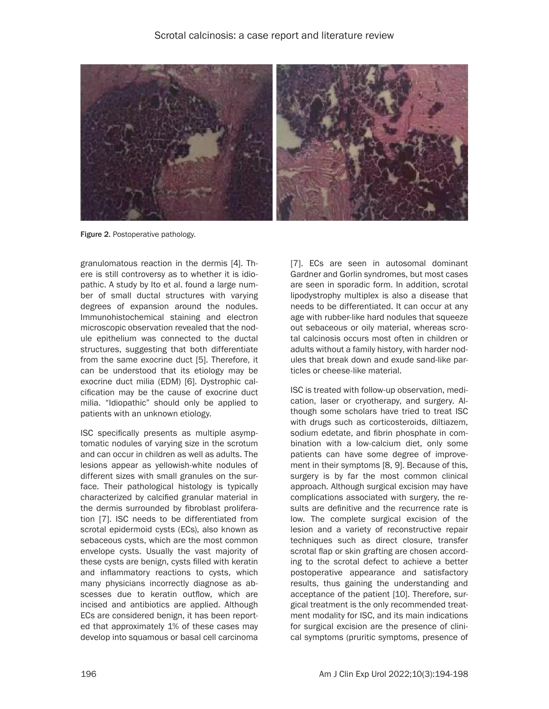

Figure 2. Postoperative pathology.

granulomatous reaction in the dermis [4]. There is still controversy as to whether it is idiopathic. A study by Ito et al. found a large number of small ductal structures with varying degrees of expansion around the nodules. Immunohistochemical staining and electron microscopic observation revealed that the nodule epithelium was connected to the ductal structures, suggesting that both differentiate from the same exocrine duct [5]. Therefore, it can be understood that its etiology may be exocrine duct milia (EDM) [6]. Dystrophic calcification may be the cause of exocrine duct milia. "Idiopathic" should only be applied to patients with an unknown etiology.

ISC specifically presents as multiple asymptomatic nodules of varying size in the scrotum and can occur in children as well as adults. The lesions appear as yellowish-white nodules of different sizes with small granules on the surface. Their pathological histology is typically characterized by calcified granular material in the dermis surrounded by fibroblast proliferation [7]. ISC needs to be differentiated from scrotal epidermoid cysts (ECs), also known as sebaceous cysts, which are the most common envelope cysts. Usually the vast majority of these cysts are benign, cysts filled with keratin and inflammatory reactions to cysts, which many physicians incorrectly diagnose as abscesses due to keratin outflow, which are incised and antibiotics are applied. Although ECs are considered benign, it has been reported that approximately 1% of these cases may develop into squamous or basal cell carcinoma

[7]. ECs are seen in autosomal dominant Gardner and Gorlin syndromes, but most cases are seen in sporadic form. In addition, scrotal lipodystrophy multiplex is also a disease that needs to be differentiated. It can occur at any age with rubber-like hard nodules that squeeze out sebaceous or oily material, whereas scrotal calcinosis occurs most often in children or adults without a family history, with harder nodules that break down and exude sand-like particles or cheese-like material.

ISC is treated with follow-up observation, medication, laser or cryotherapy, and surgery. Although some scholars have tried to treat ISC with drugs such as corticosteroids, diltiazem, sodium edetate, and fibrin phosphate in combination with a low-calcium diet, only some patients can have some degree of improvement in their symptoms [8, 9]. Because of this, surgery is by far the most common clinical approach. Although surgical excision may have complications associated with surgery, the results are definitive and the recurrence rate is low. The complete surgical excision of the lesion and a variety of reconstructive repair techniques such as direct closure, transfer scrotal flap or skin grafting are chosen according to the scrotal defect to achieve a better postoperative appearance and satisfactory results, thus gaining the understanding and acceptance of the patient [10]. Therefore, surgical treatment is the only recommended treatment modality for ISC, and its main indications for surgical excision are the presence of clinical symptoms (pruritic symptoms, presence of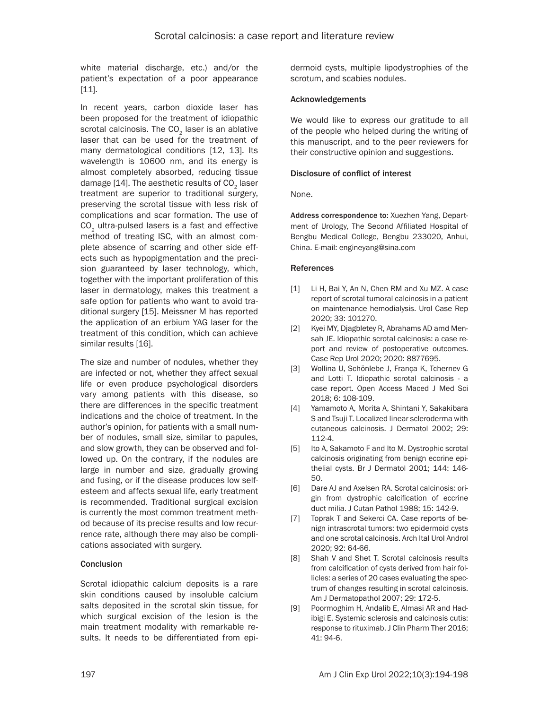white material discharge, etc.) and/or the patient's expectation of a poor appearance [11].

In recent years, carbon dioxide laser has been proposed for the treatment of idiopathic scrotal calcinosis. The  $CO<sub>2</sub>$  laser is an ablative laser that can be used for the treatment of many dermatological conditions [12, 13]. Its wavelength is 10600 nm, and its energy is almost completely absorbed, reducing tissue damage  $[14]$ . The aesthetic results of  $CO<sub>2</sub>$  laser treatment are superior to traditional surgery, preserving the scrotal tissue with less risk of complications and scar formation. The use of  $CO<sub>2</sub>$  ultra-pulsed lasers is a fast and effective method of treating ISC, with an almost complete absence of scarring and other side effects such as hypopigmentation and the precision guaranteed by laser technology, which, together with the important proliferation of this laser in dermatology, makes this treatment a safe option for patients who want to avoid traditional surgery [15]. Meissner M has reported the application of an erbium YAG laser for the treatment of this condition, which can achieve similar results [16].

The size and number of nodules, whether they are infected or not, whether they affect sexual life or even produce psychological disorders vary among patients with this disease, so there are differences in the specific treatment indications and the choice of treatment. In the author's opinion, for patients with a small number of nodules, small size, similar to papules, and slow growth, they can be observed and followed up. On the contrary, if the nodules are large in number and size, gradually growing and fusing, or if the disease produces low selfesteem and affects sexual life, early treatment is recommended. Traditional surgical excision is currently the most common treatment method because of its precise results and low recurrence rate, although there may also be complications associated with surgery.

# Conclusion

Scrotal idiopathic calcium deposits is a rare skin conditions caused by insoluble calcium salts deposited in the scrotal skin tissue, for which surgical excision of the lesion is the main treatment modality with remarkable results. It needs to be differentiated from epidermoid cysts, multiple lipodystrophies of the scrotum, and scabies nodules.

## Acknowledgements

We would like to express our gratitude to all of the people who helped during the writing of this manuscript, and to the peer reviewers for their constructive opinion and suggestions.

# Disclosure of conflict of interest

None.

Address correspondence to: Xuezhen Yang, Department of Urology, The Second Affiliated Hospital of Bengbu Medical College, Bengbu 233020, Anhui, China. E-mail: [engineyang@sina.com](mailto:engineyang@sina.com)

## References

- [1] Li H, Bai Y, An N, Chen RM and Xu MZ. A case report of scrotal tumoral calcinosis in a patient on maintenance hemodialysis. Urol Case Rep 2020; 33: 101270.
- [2] Kyei MY, Djagbletey R, Abrahams AD amd Mensah JE. Idiopathic scrotal calcinosis: a case report and review of postoperative outcomes. Case Rep Urol 2020; 2020: 8877695.
- [3] Wollina U, Schönlebe J, França K, Tchernev G and Lotti T. Idiopathic scrotal calcinosis - a case report. Open Access Maced J Med Sci 2018; 6: 108-109.
- [4] Yamamoto A, Morita A, Shintani Y, Sakakibara S and Tsuji T. Localized linear scleroderma with cutaneous calcinosis. J Dermatol 2002; 29: 112-4.
- [5] Ito A, Sakamoto F and Ito M. Dystrophic scrotal calcinosis originating from benign eccrine epithelial cysts. Br J Dermatol 2001; 144: 146- 50.
- [6] Dare AJ and Axelsen RA. Scrotal calcinosis: origin from dystrophic calcification of eccrine duct milia. J Cutan Pathol 1988; 15: 142-9.
- [7] Toprak T and Sekerci CA. Case reports of benign intrascrotal tumors: two epidermoid cysts and one scrotal calcinosis. Arch Ital Urol Androl 2020; 92: 64-66.
- [8] Shah V and Shet T. Scrotal calcinosis results from calcification of cysts derived from hair follicles: a series of 20 cases evaluating the spectrum of changes resulting in scrotal calcinosis. Am J Dermatopathol 2007; 29: 172-5.
- [9] Poormoghim H, Andalib E, Almasi AR and Hadibigi E. Systemic sclerosis and calcinosis cutis: response to rituximab. J Clin Pharm Ther 2016; 41: 94-6.